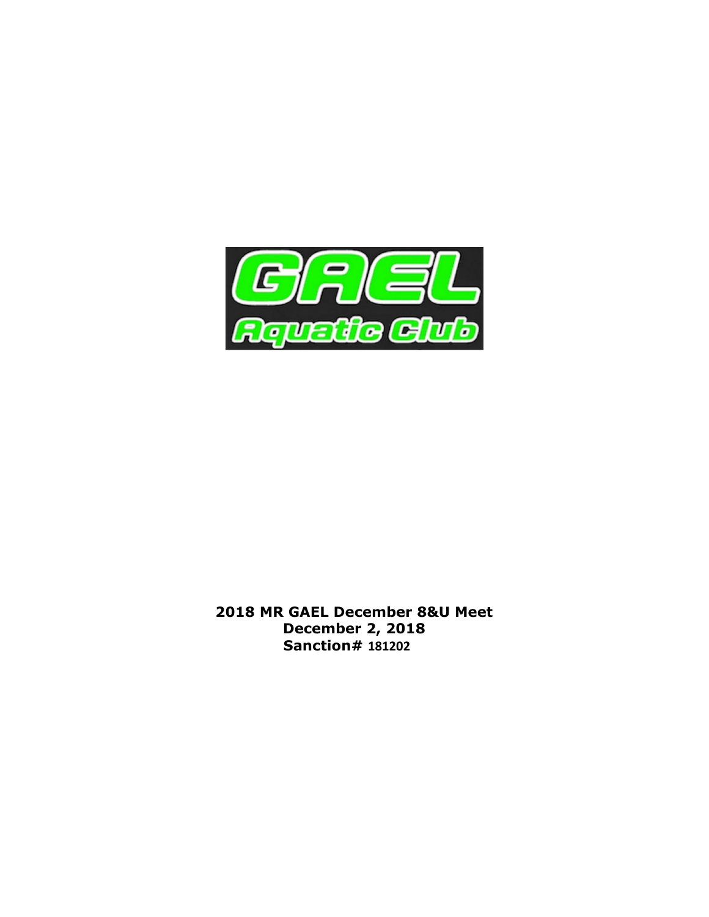

2018 MR GAEL December 8&U Meet December 2, 2018 Sanction# 181202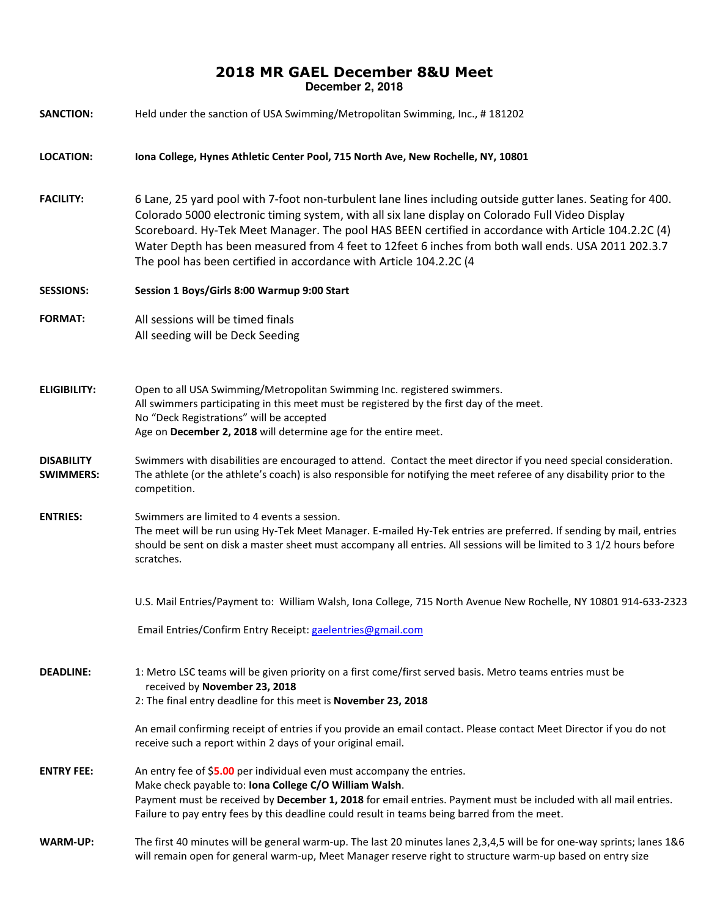## 2018 MR GAEL December 8&U Meet **December 2, 2018**

| <b>SANCTION:</b>                      | Held under the sanction of USA Swimming/Metropolitan Swimming, Inc., #181202                                                                                                                                                                                                                                                                                                                                                                                                                       |  |
|---------------------------------------|----------------------------------------------------------------------------------------------------------------------------------------------------------------------------------------------------------------------------------------------------------------------------------------------------------------------------------------------------------------------------------------------------------------------------------------------------------------------------------------------------|--|
| <b>LOCATION:</b>                      | Iona College, Hynes Athletic Center Pool, 715 North Ave, New Rochelle, NY, 10801                                                                                                                                                                                                                                                                                                                                                                                                                   |  |
| <b>FACILITY:</b>                      | 6 Lane, 25 yard pool with 7-foot non-turbulent lane lines including outside gutter lanes. Seating for 400.<br>Colorado 5000 electronic timing system, with all six lane display on Colorado Full Video Display<br>Scoreboard. Hy-Tek Meet Manager. The pool HAS BEEN certified in accordance with Article 104.2.2C (4)<br>Water Depth has been measured from 4 feet to 12feet 6 inches from both wall ends. USA 2011 202.3.7<br>The pool has been certified in accordance with Article 104.2.2C (4 |  |
| <b>SESSIONS:</b>                      | Session 1 Boys/Girls 8:00 Warmup 9:00 Start                                                                                                                                                                                                                                                                                                                                                                                                                                                        |  |
| <b>FORMAT:</b>                        | All sessions will be timed finals<br>All seeding will be Deck Seeding                                                                                                                                                                                                                                                                                                                                                                                                                              |  |
| <b>ELIGIBILITY:</b>                   | Open to all USA Swimming/Metropolitan Swimming Inc. registered swimmers.<br>All swimmers participating in this meet must be registered by the first day of the meet.<br>No "Deck Registrations" will be accepted<br>Age on December 2, 2018 will determine age for the entire meet.                                                                                                                                                                                                                |  |
| <b>DISABILITY</b><br><b>SWIMMERS:</b> | Swimmers with disabilities are encouraged to attend. Contact the meet director if you need special consideration.<br>The athlete (or the athlete's coach) is also responsible for notifying the meet referee of any disability prior to the<br>competition.                                                                                                                                                                                                                                        |  |
| <b>ENTRIES:</b>                       | Swimmers are limited to 4 events a session.<br>The meet will be run using Hy-Tek Meet Manager. E-mailed Hy-Tek entries are preferred. If sending by mail, entries<br>should be sent on disk a master sheet must accompany all entries. All sessions will be limited to 3 1/2 hours before<br>scratches.                                                                                                                                                                                            |  |
|                                       | U.S. Mail Entries/Payment to: William Walsh, Iona College, 715 North Avenue New Rochelle, NY 10801 914-633-2323                                                                                                                                                                                                                                                                                                                                                                                    |  |
|                                       | Email Entries/Confirm Entry Receipt: gaelentries@gmail.com                                                                                                                                                                                                                                                                                                                                                                                                                                         |  |
| <b>DEADLINE:</b>                      | 1: Metro LSC teams will be given priority on a first come/first served basis. Metro teams entries must be<br>received by November 23, 2018<br>2: The final entry deadline for this meet is November 23, 2018                                                                                                                                                                                                                                                                                       |  |
|                                       | An email confirming receipt of entries if you provide an email contact. Please contact Meet Director if you do not<br>receive such a report within 2 days of your original email.                                                                                                                                                                                                                                                                                                                  |  |
| <b>ENTRY FEE:</b>                     | An entry fee of \$5.00 per individual even must accompany the entries.<br>Make check payable to: Iona College C/O William Walsh.<br>Payment must be received by December 1, 2018 for email entries. Payment must be included with all mail entries.<br>Failure to pay entry fees by this deadline could result in teams being barred from the meet.                                                                                                                                                |  |
| <b>WARM-UP:</b>                       | The first 40 minutes will be general warm-up. The last 20 minutes lanes 2,3,4,5 will be for one-way sprints; lanes 1&6<br>will remain open for general warm-up, Meet Manager reserve right to structure warm-up based on entry size                                                                                                                                                                                                                                                                |  |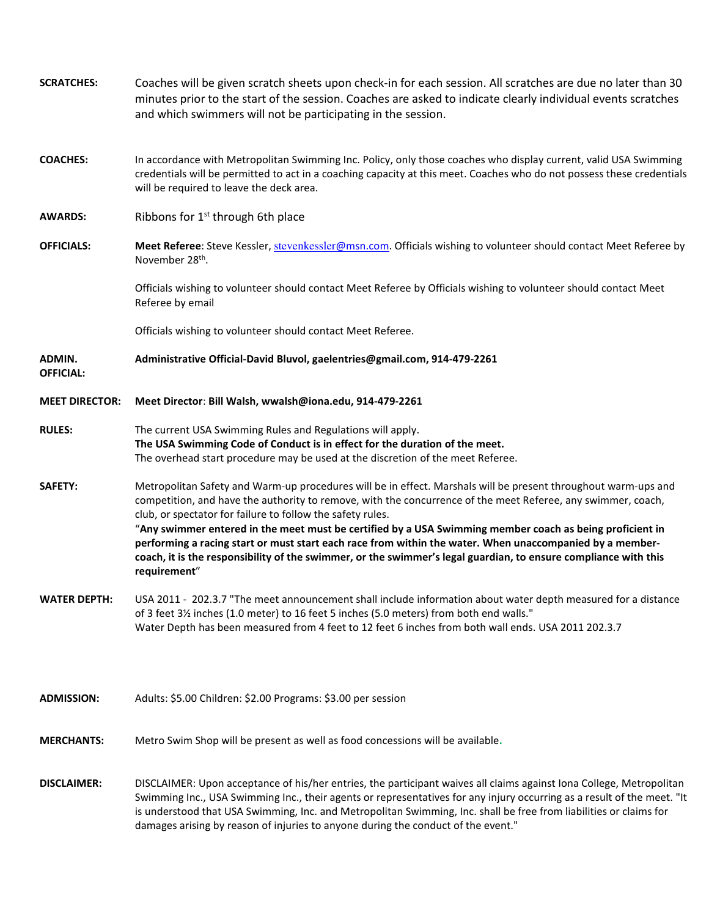| <b>SCRATCHES:</b>          | Coaches will be given scratch sheets upon check-in for each session. All scratches are due no later than 30<br>minutes prior to the start of the session. Coaches are asked to indicate clearly individual events scratches<br>and which swimmers will not be participating in the session.                                                                                                                                                                                                                                                                                                                                                             |
|----------------------------|---------------------------------------------------------------------------------------------------------------------------------------------------------------------------------------------------------------------------------------------------------------------------------------------------------------------------------------------------------------------------------------------------------------------------------------------------------------------------------------------------------------------------------------------------------------------------------------------------------------------------------------------------------|
| <b>COACHES:</b>            | In accordance with Metropolitan Swimming Inc. Policy, only those coaches who display current, valid USA Swimming<br>credentials will be permitted to act in a coaching capacity at this meet. Coaches who do not possess these credentials<br>will be required to leave the deck area.                                                                                                                                                                                                                                                                                                                                                                  |
| <b>AWARDS:</b>             | Ribbons for 1 <sup>st</sup> through 6th place                                                                                                                                                                                                                                                                                                                                                                                                                                                                                                                                                                                                           |
| <b>OFFICIALS:</b>          | Meet Referee: Steve Kessler, stevenkessler@msn.com. Officials wishing to volunteer should contact Meet Referee by<br>November 28 <sup>th</sup> .                                                                                                                                                                                                                                                                                                                                                                                                                                                                                                        |
|                            | Officials wishing to volunteer should contact Meet Referee by Officials wishing to volunteer should contact Meet<br>Referee by email                                                                                                                                                                                                                                                                                                                                                                                                                                                                                                                    |
|                            | Officials wishing to volunteer should contact Meet Referee.                                                                                                                                                                                                                                                                                                                                                                                                                                                                                                                                                                                             |
| ADMIN.<br><b>OFFICIAL:</b> | Administrative Official-David Bluvol, gaelentries@gmail.com, 914-479-2261                                                                                                                                                                                                                                                                                                                                                                                                                                                                                                                                                                               |
| <b>MEET DIRECTOR:</b>      | Meet Director: Bill Walsh, wwalsh@iona.edu, 914-479-2261                                                                                                                                                                                                                                                                                                                                                                                                                                                                                                                                                                                                |
| <b>RULES:</b>              | The current USA Swimming Rules and Regulations will apply.<br>The USA Swimming Code of Conduct is in effect for the duration of the meet.<br>The overhead start procedure may be used at the discretion of the meet Referee.                                                                                                                                                                                                                                                                                                                                                                                                                            |
| <b>SAFETY:</b>             | Metropolitan Safety and Warm-up procedures will be in effect. Marshals will be present throughout warm-ups and<br>competition, and have the authority to remove, with the concurrence of the meet Referee, any swimmer, coach,<br>club, or spectator for failure to follow the safety rules.<br>"Any swimmer entered in the meet must be certified by a USA Swimming member coach as being proficient in<br>performing a racing start or must start each race from within the water. When unaccompanied by a member-<br>coach, it is the responsibility of the swimmer, or the swimmer's legal guardian, to ensure compliance with this<br>requirement" |
| <b>WATER DEPTH:</b>        | USA 2011 - 202.3.7 "The meet announcement shall include information about water depth measured for a distance<br>of 3 feet 31/2 inches (1.0 meter) to 16 feet 5 inches (5.0 meters) from both end walls."<br>Water Depth has been measured from 4 feet to 12 feet 6 inches from both wall ends. USA 2011 202.3.7                                                                                                                                                                                                                                                                                                                                        |
| <b>ADMISSION:</b>          | Adults: \$5.00 Children: \$2.00 Programs: \$3.00 per session                                                                                                                                                                                                                                                                                                                                                                                                                                                                                                                                                                                            |
| <b>MERCHANTS:</b>          | Metro Swim Shop will be present as well as food concessions will be available.                                                                                                                                                                                                                                                                                                                                                                                                                                                                                                                                                                          |
| <b>DISCLAIMER:</b>         | DISCLAIMER: Upon acceptance of his/her entries, the participant waives all claims against Iona College, Metropolitan<br>Swimming Inc., USA Swimming Inc., their agents or representatives for any injury occurring as a result of the meet. "It<br>is understood that USA Swimming, Inc. and Metropolitan Swimming, Inc. shall be free from liabilities or claims for<br>damages arising by reason of injuries to anyone during the conduct of the event."                                                                                                                                                                                              |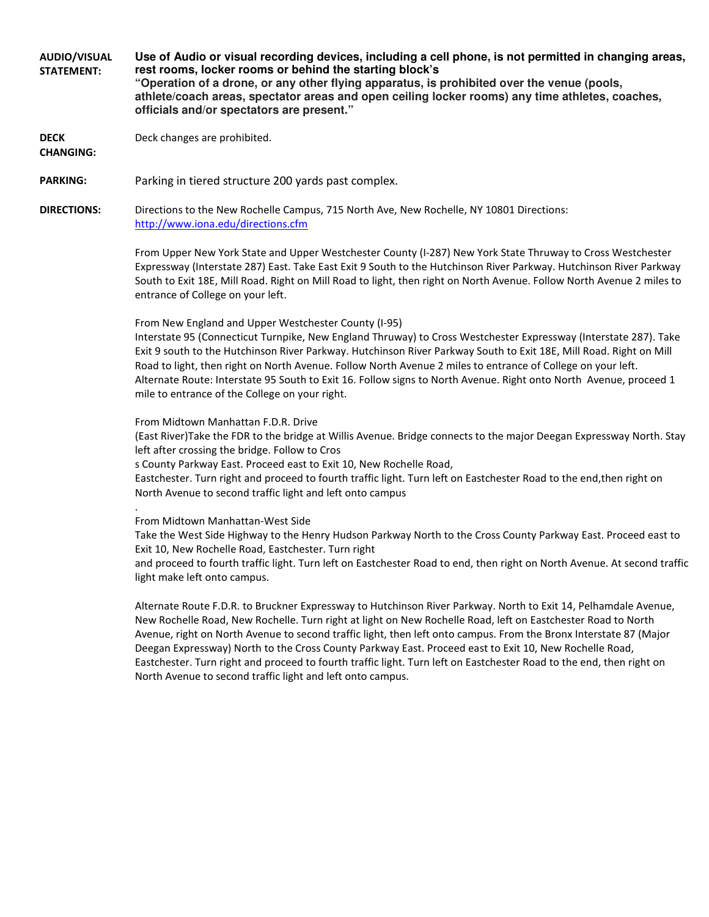AUDIO/VISUAL STATEMENT: **Use of Audio or visual recording devices, including a cell phone, is not permitted in changing areas, rest rooms, locker rooms or behind the starting block's "Operation of a drone, or any other flying apparatus, is prohibited over the venue (pools, athlete/coach areas, spectator areas and open ceiling locker rooms) any time athletes, coaches,** 

DECK Deck changes are prohibited.

CHANGING:

PARKING: Parking in tiered structure 200 yards past complex.

**officials and/or spectators are present."**

DIRECTIONS: Directions to the New Rochelle Campus, 715 North Ave, New Rochelle, NY 10801 Directions: http://www.iona.edu/directions.cfm

> From Upper New York State and Upper Westchester County (I-287) New York State Thruway to Cross Westchester Expressway (Interstate 287) East. Take East Exit 9 South to the Hutchinson River Parkway. Hutchinson River Parkway South to Exit 18E, Mill Road. Right on Mill Road to light, then right on North Avenue. Follow North Avenue 2 miles to entrance of College on your left.

From New England and Upper Westchester County (I-95)

Interstate 95 (Connecticut Turnpike, New England Thruway) to Cross Westchester Expressway (Interstate 287). Take Exit 9 south to the Hutchinson River Parkway. Hutchinson River Parkway South to Exit 18E, Mill Road. Right on Mill Road to light, then right on North Avenue. Follow North Avenue 2 miles to entrance of College on your left. Alternate Route: Interstate 95 South to Exit 16. Follow signs to North Avenue. Right onto North Avenue, proceed 1 mile to entrance of the College on your right.

From Midtown Manhattan F.D.R. Drive

(East River)Take the FDR to the bridge at Willis Avenue. Bridge connects to the major Deegan Expressway North. Stay left after crossing the bridge. Follow to Cros

s County Parkway East. Proceed east to Exit 10, New Rochelle Road,

Eastchester. Turn right and proceed to fourth traffic light. Turn left on Eastchester Road to the end,then right on North Avenue to second traffic light and left onto campus

From Midtown Manhattan-West Side

.

Take the West Side Highway to the Henry Hudson Parkway North to the Cross County Parkway East. Proceed east to Exit 10, New Rochelle Road, Eastchester. Turn right

and proceed to fourth traffic light. Turn left on Eastchester Road to end, then right on North Avenue. At second traffic light make left onto campus.

Alternate Route F.D.R. to Bruckner Expressway to Hutchinson River Parkway. North to Exit 14, Pelhamdale Avenue, New Rochelle Road, New Rochelle. Turn right at light on New Rochelle Road, left on Eastchester Road to North Avenue, right on North Avenue to second traffic light, then left onto campus. From the Bronx Interstate 87 (Major Deegan Expressway) North to the Cross County Parkway East. Proceed east to Exit 10, New Rochelle Road, Eastchester. Turn right and proceed to fourth traffic light. Turn left on Eastchester Road to the end, then right on North Avenue to second traffic light and left onto campus.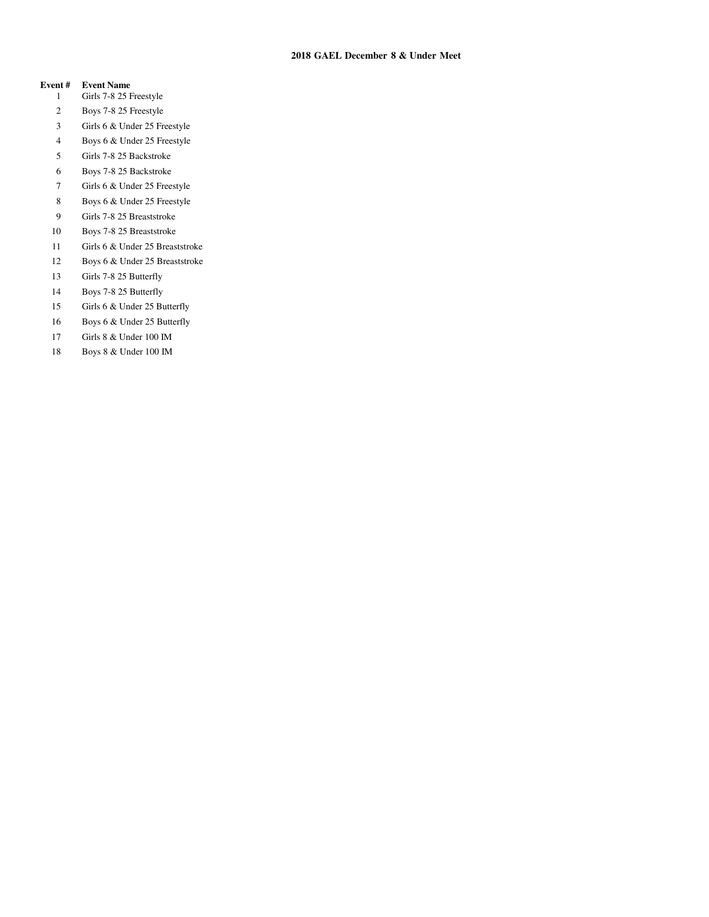### **2018 GAEL December 8 & Under Meet**

#### **Event # Event Name**

- 1 Girls 7-8 25 Freestyle
- 2 Boys 7-8 25 Freestyle
- 3 Girls 6 & Under 25 Freestyle
- 4 Boys 6 & Under 25 Freestyle
- 5 Girls 7-8 25 Backstroke
- 6 Boys 7-8 25 Backstroke
- 7 Girls 6 & Under 25 Freestyle
- 8 Boys 6 & Under 25 Freestyle
- 9 Girls 7-8 25 Breaststroke
- 10 Boys 7-8 25 Breaststroke
- 11 Girls 6 & Under 25 Breaststroke
- 12 Boys 6 & Under 25 Breaststroke
- 13 Girls 7-8 25 Butterfly
- 14 Boys 7-8 25 Butterfly
- 15 Girls 6 & Under 25 Butterfly
- 16 Boys 6 & Under 25 Butterfly
- 17 Girls 8 & Under 100 IM
- 18 Boys 8 & Under 100 IM